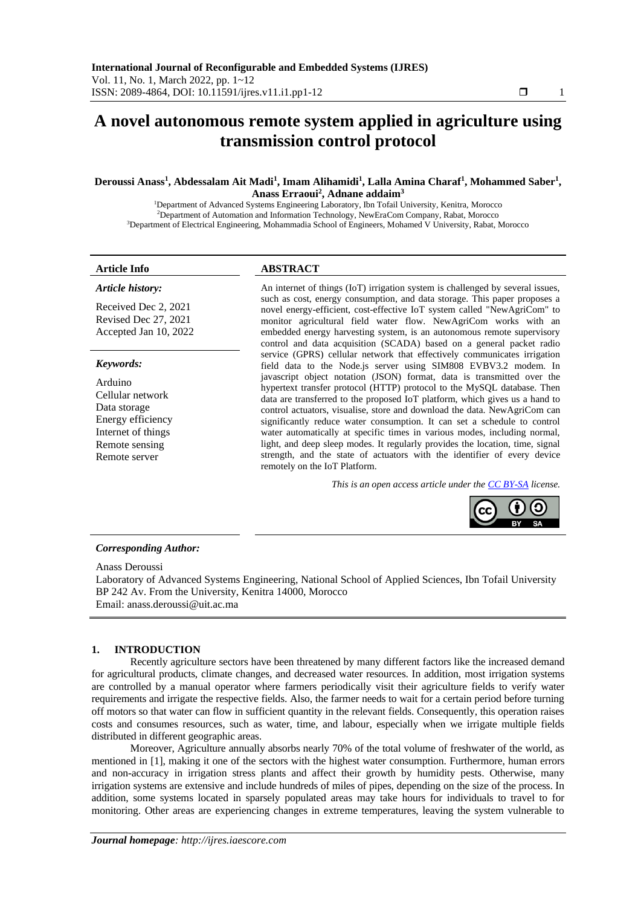# **A novel autonomous remote system applied in agriculture using transmission control protocol**

# **Deroussi Anass<sup>1</sup> , Abdessalam Ait Madi<sup>1</sup> , Imam Alihamidi<sup>1</sup> , Lalla Amina Charaf<sup>1</sup> , Mohammed Saber<sup>1</sup> , Anass Erraoui<sup>2</sup> , Adnane addaim<sup>3</sup>**

<sup>1</sup>Department of Advanced Systems Engineering Laboratory, Ibn Tofail University, Kenitra, Morocco <sup>2</sup>Department of Automation and Information Technology, NewEraCom Company, Rabat, Morocco <sup>3</sup>Department of Electrical Engineering, Mohammadia School of Engineers, Mohamed V University, Rabat, Morocco

# **Article Info ABSTRACT**

*Article history:*

Received Dec 2, 2021 Revised Dec 27, 2021 Accepted Jan 10, 2022

#### *Keywords:*

Arduino Cellular network Data storage Energy efficiency Internet of things Remote sensing Remote server

An internet of things (IoT) irrigation system is challenged by several issues, such as cost, energy consumption, and data storage. This paper proposes a novel energy-efficient, cost-effective IoT system called "NewAgriCom" to monitor agricultural field water flow. NewAgriCom works with an embedded energy harvesting system, is an autonomous remote supervisory control and data acquisition (SCADA) based on a general packet radio service (GPRS) cellular network that effectively communicates irrigation field data to the Node.js server using SIM808 EVBV3.2 modem. In javascript object notation (JSON) format, data is transmitted over the hypertext transfer protocol (HTTP) protocol to the MySQL database. Then data are transferred to the proposed IoT platform, which gives us a hand to control actuators, visualise, store and download the data. NewAgriCom can significantly reduce water consumption. It can set a schedule to control water automatically at specific times in various modes, including normal, light, and deep sleep modes. It regularly provides the location, time, signal strength, and the state of actuators with the identifier of every device remotely on the IoT Platform.

*This is an open access article under the [CC BY-SA](https://creativecommons.org/licenses/by-sa/4.0/) license.*



#### *Corresponding Author:*

Anass Deroussi

Laboratory of Advanced Systems Engineering, National School of Applied Sciences, Ibn Tofail University BP 242 Av. From the University, Kenitra 14000, Morocco Email: anass.deroussi@uit.ac.ma

# **1. INTRODUCTION**

Recently agriculture sectors have been threatened by many different factors like the increased demand for agricultural products, climate changes, and decreased water resources. In addition, most irrigation systems are controlled by a manual operator where farmers periodically visit their agriculture fields to verify water requirements and irrigate the respective fields. Also, the farmer needs to wait for a certain period before turning off motors so that water can flow in sufficient quantity in the relevant fields. Consequently, this operation raises costs and consumes resources, such as water, time, and labour, especially when we irrigate multiple fields distributed in different geographic areas.

Moreover, Agriculture annually absorbs nearly 70% of the total volume of freshwater of the world, as mentioned in [1], making it one of the sectors with the highest water consumption. Furthermore, human errors and non-accuracy in irrigation stress plants and affect their growth by humidity pests. Otherwise, many irrigation systems are extensive and include hundreds of miles of pipes, depending on the size of the process. In addition, some systems located in sparsely populated areas may take hours for individuals to travel to for monitoring. Other areas are experiencing changes in extreme temperatures, leaving the system vulnerable to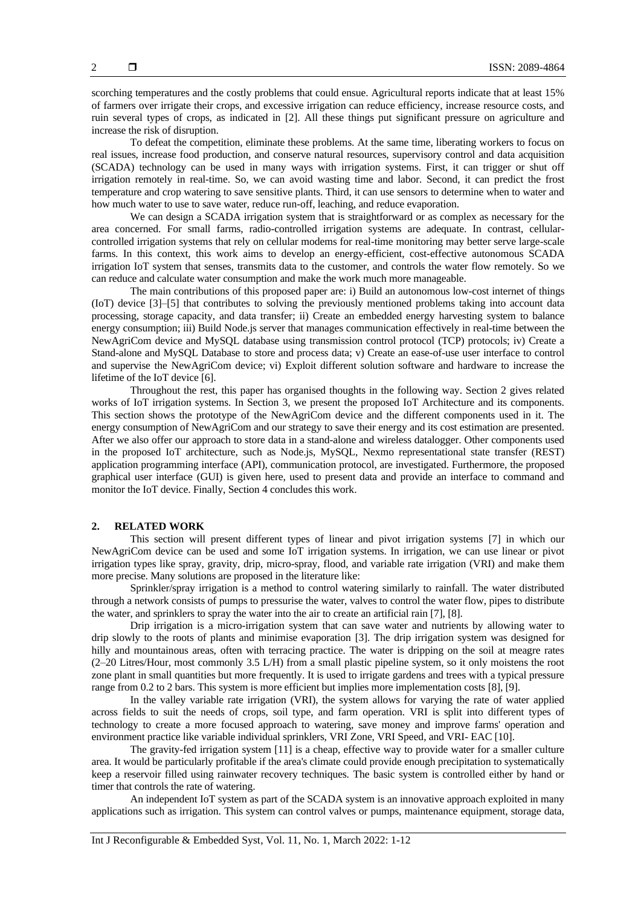To defeat the competition, eliminate these problems. At the same time, liberating workers to focus on real issues, increase food production, and conserve natural resources, supervisory control and data acquisition (SCADA) technology can be used in many ways with irrigation systems. First, it can trigger or shut off irrigation remotely in real-time. So, we can avoid wasting time and labor. Second, it can predict the frost temperature and crop watering to save sensitive plants. Third, it can use sensors to determine when to water and how much water to use to save water, reduce run-off, leaching, and reduce evaporation.

We can design a SCADA irrigation system that is straightforward or as complex as necessary for the area concerned. For small farms, radio-controlled irrigation systems are adequate. In contrast, cellularcontrolled irrigation systems that rely on cellular modems for real-time monitoring may better serve large-scale farms. In this context, this work aims to develop an energy-efficient, cost-effective autonomous SCADA irrigation IoT system that senses, transmits data to the customer, and controls the water flow remotely. So we can reduce and calculate water consumption and make the work much more manageable.

The main contributions of this proposed paper are: i) Build an autonomous low-cost internet of things (IoT) device [3]–[5] that contributes to solving the previously mentioned problems taking into account data processing, storage capacity, and data transfer; ii) Create an embedded energy harvesting system to balance energy consumption; iii) Build Node.js server that manages communication effectively in real-time between the NewAgriCom device and MySQL database using transmission control protocol (TCP) protocols; iv) Create a Stand-alone and MySQL Database to store and process data; v) Create an ease-of-use user interface to control and supervise the NewAgriCom device; vi) Exploit different solution software and hardware to increase the lifetime of the IoT device [6].

Throughout the rest, this paper has organised thoughts in the following way. Section 2 gives related works of IoT irrigation systems. In Section 3, we present the proposed IoT Architecture and its components. This section shows the prototype of the NewAgriCom device and the different components used in it. The energy consumption of NewAgriCom and our strategy to save their energy and its cost estimation are presented. After we also offer our approach to store data in a stand-alone and wireless datalogger. Other components used in the proposed IoT architecture, such as Node.js, MySQL, Nexmo representational state transfer (REST) application programming interface (API), communication protocol, are investigated. Furthermore, the proposed graphical user interface (GUI) is given here, used to present data and provide an interface to command and monitor the IoT device. Finally, Section 4 concludes this work.

# **2. RELATED WORK**

This section will present different types of linear and pivot irrigation systems [7] in which our NewAgriCom device can be used and some IoT irrigation systems. In irrigation, we can use linear or pivot irrigation types like spray, gravity, drip, micro-spray, flood, and variable rate irrigation (VRI) and make them more precise. Many solutions are proposed in the literature like:

Sprinkler/spray irrigation is a method to control watering similarly to rainfall. The water distributed through a network consists of pumps to pressurise the water, valves to control the water flow, pipes to distribute the water, and sprinklers to spray the water into the air to create an artificial rain [7], [8].

Drip irrigation is a micro-irrigation system that can save water and nutrients by allowing water to drip slowly to the roots of plants and minimise evaporation [3]. The drip irrigation system was designed for hilly and mountainous areas, often with terracing practice. The water is dripping on the soil at meagre rates (2–20 Litres/Hour, most commonly 3.5 L/H) from a small plastic pipeline system, so it only moistens the root zone plant in small quantities but more frequently. It is used to irrigate gardens and trees with a typical pressure range from 0.2 to 2 bars. This system is more efficient but implies more implementation costs [8], [9].

In the valley variable rate irrigation (VRI), the system allows for varying the rate of water applied across fields to suit the needs of crops, soil type, and farm operation. VRI is split into different types of technology to create a more focused approach to watering, save money and improve farms' operation and environment practice like variable individual sprinklers, VRI Zone, VRI Speed, and VRI- EAC [10].

The gravity-fed irrigation system [11] is a cheap, effective way to provide water for a smaller culture area. It would be particularly profitable if the area's climate could provide enough precipitation to systematically keep a reservoir filled using rainwater recovery techniques. The basic system is controlled either by hand or timer that controls the rate of watering.

An independent IoT system as part of the SCADA system is an innovative approach exploited in many applications such as irrigation. This system can control valves or pumps, maintenance equipment, storage data,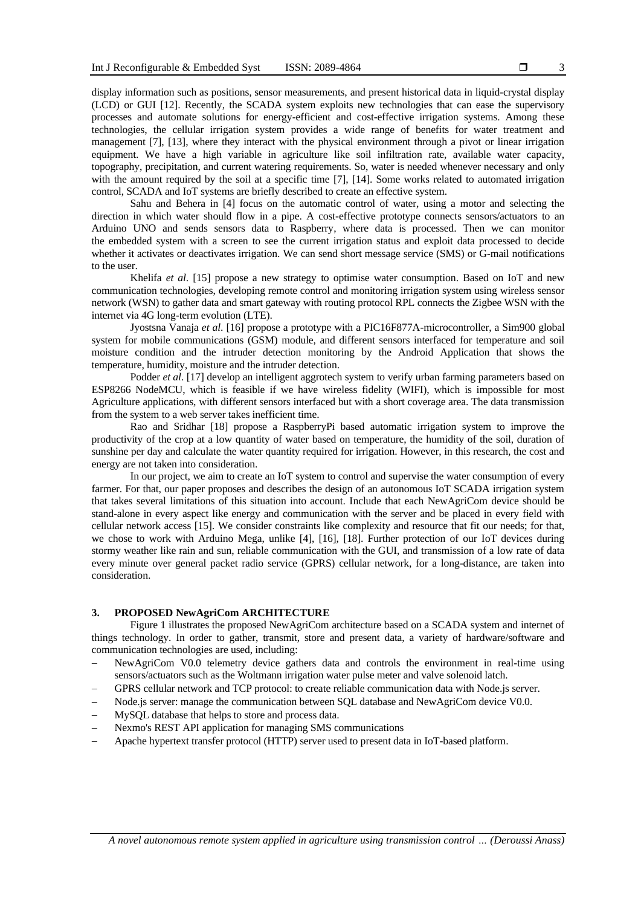display information such as positions, sensor measurements, and present historical data in liquid-crystal display (LCD) or GUI [12]. Recently, the SCADA system exploits new technologies that can ease the supervisory processes and automate solutions for energy-efficient and cost-effective irrigation systems. Among these technologies, the cellular irrigation system provides a wide range of benefits for water treatment and management [7], [13], where they interact with the physical environment through a pivot or linear irrigation equipment. We have a high variable in agriculture like soil infiltration rate, available water capacity, topography, precipitation, and current watering requirements. So, water is needed whenever necessary and only with the amount required by the soil at a specific time [7], [14]. Some works related to automated irrigation control, SCADA and IoT systems are briefly described to create an effective system.

Sahu and Behera in [4] focus on the automatic control of water, using a motor and selecting the direction in which water should flow in a pipe. A cost-effective prototype connects sensors/actuators to an Arduino UNO and sends sensors data to Raspberry, where data is processed. Then we can monitor the embedded system with a screen to see the current irrigation status and exploit data processed to decide whether it activates or deactivates irrigation. We can send short message service (SMS) or G-mail notifications to the user.

Khelifa *et al*. [15] propose a new strategy to optimise water consumption. Based on IoT and new communication technologies, developing remote control and monitoring irrigation system using wireless sensor network (WSN) to gather data and smart gateway with routing protocol RPL connects the Zigbee WSN with the internet via 4G long-term evolution (LTE).

Jyostsna Vanaja *et al*. [16] propose a prototype with a PIC16F877A-microcontroller, a Sim900 global system for mobile communications (GSM) module, and different sensors interfaced for temperature and soil moisture condition and the intruder detection monitoring by the Android Application that shows the temperature, humidity, moisture and the intruder detection.

Podder *et al*. [17] develop an intelligent aggrotech system to verify urban farming parameters based on ESP8266 NodeMCU, which is feasible if we have wireless fidelity (WIFI), which is impossible for most Agriculture applications, with different sensors interfaced but with a short coverage area. The data transmission from the system to a web server takes inefficient time.

Rao and Sridhar [18] propose a RaspberryPi based automatic irrigation system to improve the productivity of the crop at a low quantity of water based on temperature, the humidity of the soil, duration of sunshine per day and calculate the water quantity required for irrigation. However, in this research, the cost and energy are not taken into consideration.

In our project, we aim to create an IoT system to control and supervise the water consumption of every farmer. For that, our paper proposes and describes the design of an autonomous IoT SCADA irrigation system that takes several limitations of this situation into account. Include that each NewAgriCom device should be stand-alone in every aspect like energy and communication with the server and be placed in every field with cellular network access [15]. We consider constraints like complexity and resource that fit our needs; for that, we chose to work with Arduino Mega, unlike [4], [16], [18]. Further protection of our IoT devices during stormy weather like rain and sun, reliable communication with the GUI, and transmission of a low rate of data every minute over general packet radio service (GPRS) cellular network, for a long-distance, are taken into consideration.

# **3. PROPOSED NewAgriCom ARCHITECTURE**

Figure 1 illustrates the proposed NewAgriCom architecture based on a SCADA system and internet of things technology. In order to gather, transmit, store and present data, a variety of hardware/software and communication technologies are used, including:

- − NewAgriCom V0.0 telemetry device gathers data and controls the environment in real-time using sensors/actuators such as the Woltmann irrigation water pulse meter and valve solenoid latch.
- GPRS cellular network and TCP protocol: to create reliable communication data with Node.js server.
- − Node.js server: manage the communication between SQL database and NewAgriCom device V0.0.
- MySQL database that helps to store and process data.
- − Nexmo's REST API application for managing SMS communications
- − Apache hypertext transfer protocol (HTTP) server used to present data in IoT-based platform.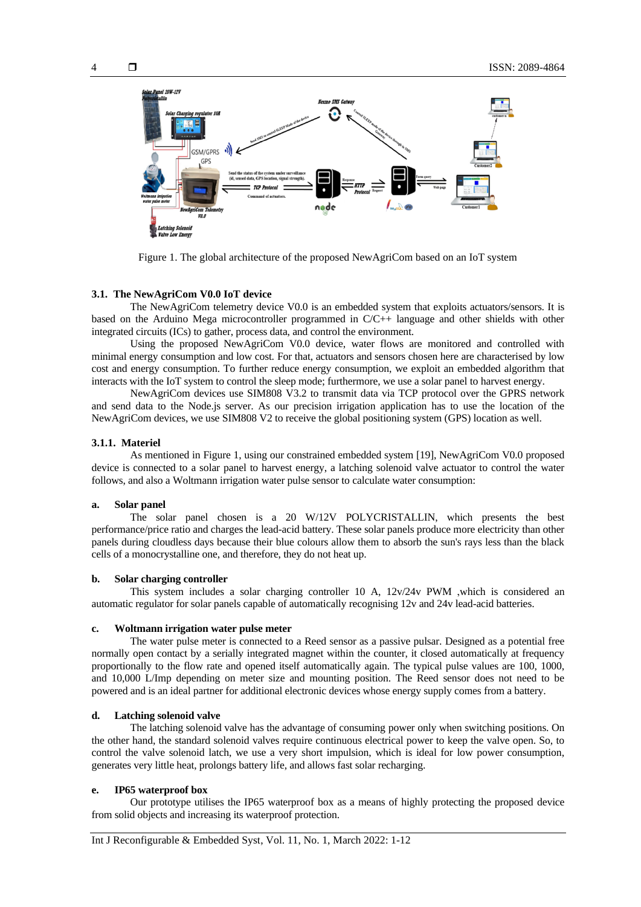

Figure 1. The global architecture of the proposed NewAgriCom based on an IoT system

#### **3.1. The NewAgriCom V0.0 IoT device**

The NewAgriCom telemetry device V0.0 is an embedded system that exploits actuators/sensors. It is based on the Arduino Mega microcontroller programmed in C/C++ language and other shields with other integrated circuits (ICs) to gather, process data, and control the environment.

Using the proposed NewAgriCom V0.0 device, water flows are monitored and controlled with minimal energy consumption and low cost. For that, actuators and sensors chosen here are characterised by low cost and energy consumption. To further reduce energy consumption, we exploit an embedded algorithm that interacts with the IoT system to control the sleep mode; furthermore, we use a solar panel to harvest energy.

NewAgriCom devices use SIM808 V3.2 to transmit data via TCP protocol over the GPRS network and send data to the Node.js server. As our precision irrigation application has to use the location of the NewAgriCom devices, we use SIM808 V2 to receive the global positioning system (GPS) location as well.

## **3.1.1. Materiel**

As mentioned in Figure 1, using our constrained embedded system [19], NewAgriCom V0.0 proposed device is connected to a solar panel to harvest energy, a latching solenoid valve actuator to control the water follows, and also a Woltmann irrigation water pulse sensor to calculate water consumption:

# **a. Solar panel**

The solar panel chosen is a 20 W/12V POLYCRISTALLIN, which presents the best performance/price ratio and charges the lead-acid battery. These solar panels produce more electricity than other panels during cloudless days because their blue colours allow them to absorb the sun's rays less than the black cells of a monocrystalline one, and therefore, they do not heat up.

#### **b. Solar charging controller**

This system includes a solar charging controller 10 A, 12v/24v PWM ,which is considered an automatic regulator for solar panels capable of automatically recognising 12v and 24v lead-acid batteries.

# **c. Woltmann irrigation water pulse meter**

The water pulse meter is connected to a Reed sensor as a passive pulsar. Designed as a potential free normally open contact by a serially integrated magnet within the counter, it closed automatically at frequency proportionally to the flow rate and opened itself automatically again. The typical pulse values are 100, 1000, and 10,000 L/Imp depending on meter size and mounting position. The Reed sensor does not need to be powered and is an ideal partner for additional electronic devices whose energy supply comes from a battery.

# **d. Latching solenoid valve**

The latching solenoid valve has the advantage of consuming power only when switching positions. On the other hand, the standard solenoid valves require continuous electrical power to keep the valve open. So, to control the valve solenoid latch, we use a very short impulsion, which is ideal for low power consumption, generates very little heat, prolongs battery life, and allows fast solar recharging.

#### **e. IP65 waterproof box**

Our prototype utilises the IP65 waterproof box as a means of highly protecting the proposed device from solid objects and increasing its waterproof protection.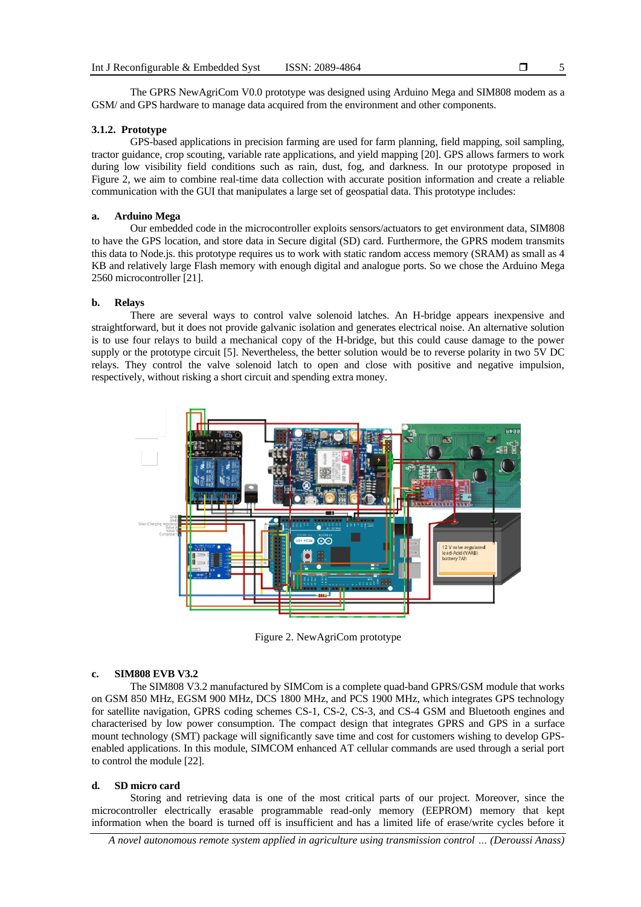The GPRS NewAgriCom V0.0 prototype was designed using Arduino Mega and SIM808 modem as a GSM/ and GPS hardware to manage data acquired from the environment and other components.

#### **3.1.2. Prototype**

GPS-based applications in precision farming are used for farm planning, field mapping, soil sampling, tractor guidance, crop scouting, variable rate applications, and yield mapping [20]. GPS allows farmers to work during low visibility field conditions such as rain, dust, fog, and darkness. In our prototype proposed in Figure 2, we aim to combine real-time data collection with accurate position information and create a reliable communication with the GUI that manipulates a large set of geospatial data. This prototype includes:

#### **a. Arduino Mega**

Our embedded code in the microcontroller exploits sensors/actuators to get environment data, SIM808 to have the GPS location, and store data in Secure digital (SD) card. Furthermore, the GPRS modem transmits this data to Node.js. this prototype requires us to work with static random access memory (SRAM) as small as 4 KB and relatively large Flash memory with enough digital and analogue ports. So we chose the Arduino Mega 2560 microcontroller [21].

# **b. Relays**

There are several ways to control valve solenoid latches. An H-bridge appears inexpensive and straightforward, but it does not provide galvanic isolation and generates electrical noise. An alternative solution is to use four relays to build a mechanical copy of the H-bridge, but this could cause damage to the power supply or the prototype circuit [5]. Nevertheless, the better solution would be to reverse polarity in two 5V DC relays. They control the valve solenoid latch to open and close with positive and negative impulsion, respectively, without risking a short circuit and spending extra money.



Figure 2. NewAgriCom prototype

# **c. SIM808 EVB V3.2**

The SIM808 V3.2 manufactured by SIMCom is a complete quad-band GPRS/GSM module that works on GSM 850 MHz, EGSM 900 MHz, DCS 1800 MHz, and PCS 1900 MHz, which integrates GPS technology for satellite navigation, GPRS coding schemes CS-1, CS-2, CS-3, and CS-4 GSM and Bluetooth engines and characterised by low power consumption. The compact design that integrates GPRS and GPS in a surface mount technology (SMT) package will significantly save time and cost for customers wishing to develop GPSenabled applications. In this module, SIMCOM enhanced AT cellular commands are used through a serial port to control the module [22].

#### **d. SD micro card**

Storing and retrieving data is one of the most critical parts of our project. Moreover, since the microcontroller electrically erasable programmable read-only memory (EEPROM) memory that kept information when the board is turned off is insufficient and has a limited life of erase/write cycles before it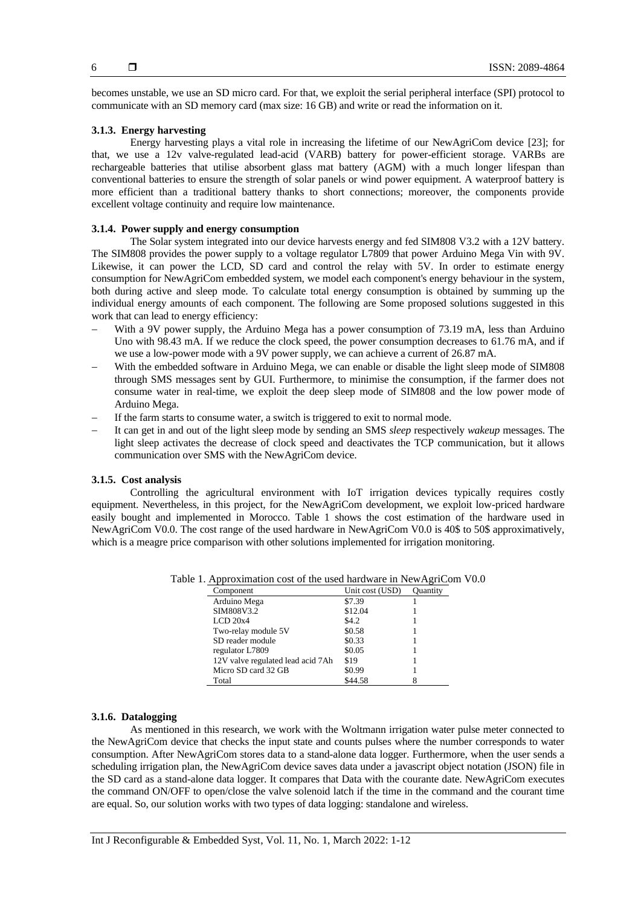becomes unstable, we use an SD micro card. For that, we exploit the serial peripheral interface (SPI) protocol to communicate with an SD memory card (max size: 16 GB) and write or read the information on it.

# **3.1.3. Energy harvesting**

Energy harvesting plays a vital role in increasing the lifetime of our NewAgriCom device [23]; for that, we use a 12v valve-regulated lead-acid (VARB) battery for power-efficient storage. VARBs are rechargeable batteries that utilise absorbent glass mat battery (AGM) with a much longer lifespan than conventional batteries to ensure the strength of solar panels or wind power equipment. A waterproof battery is more efficient than a traditional battery thanks to short connections; moreover, the components provide excellent voltage continuity and require low maintenance.

# **3.1.4. Power supply and energy consumption**

The Solar system integrated into our device harvests energy and fed SIM808 V3.2 with a 12V battery. The SIM808 provides the power supply to a voltage regulator L7809 that power Arduino Mega Vin with 9V. Likewise, it can power the LCD, SD card and control the relay with 5V. In order to estimate energy consumption for NewAgriCom embedded system, we model each component's energy behaviour in the system, both during active and sleep mode. To calculate total energy consumption is obtained by summing up the individual energy amounts of each component. The following are Some proposed solutions suggested in this work that can lead to energy efficiency:

- With a 9V power supply, the Arduino Mega has a power consumption of 73.19 mA, less than Arduino Uno with 98.43 mA. If we reduce the clock speed, the power consumption decreases to 61.76 mA, and if we use a low-power mode with a 9V power supply, we can achieve a current of 26.87 mA.
- With the embedded software in Arduino Mega, we can enable or disable the light sleep mode of SIM808 through SMS messages sent by GUI. Furthermore, to minimise the consumption, if the farmer does not consume water in real-time, we exploit the deep sleep mode of SIM808 and the low power mode of Arduino Mega.
- If the farm starts to consume water, a switch is triggered to exit to normal mode.
- − It can get in and out of the light sleep mode by sending an SMS *sleep* respectively *wakeup* messages. The light sleep activates the decrease of clock speed and deactivates the TCP communication, but it allows communication over SMS with the NewAgriCom device.

# **3.1.5. Cost analysis**

Controlling the agricultural environment with IoT irrigation devices typically requires costly equipment. Nevertheless, in this project, for the NewAgriCom development, we exploit low-priced hardware easily bought and implemented in Morocco. Table 1 shows the cost estimation of the hardware used in NewAgriCom V0.0. The cost range of the used hardware in NewAgriCom V0.0 is 40\$ to 50\$ approximatively, which is a meagre price comparison with other solutions implemented for irrigation monitoring.

| Component                         | Unit cost (USD) | <b>Ouantity</b> |
|-----------------------------------|-----------------|-----------------|
| Arduino Mega                      | \$7.39          |                 |
| SIM808V3.2                        | \$12.04         |                 |
| $LCD\ 20x4$                       | \$4.2           |                 |
| Two-relay module 5V               | \$0.58          |                 |
| SD reader module                  | \$0.33          |                 |
| regulator L7809                   | \$0.05          |                 |
| 12V valve regulated lead acid 7Ah | \$19            |                 |
| Micro SD card 32 GB               | \$0.99          |                 |
| Total                             | \$44.58         |                 |

Table 1. Approximation cost of the used hardware in NewAgriCom V0.0

# **3.1.6. Datalogging**

As mentioned in this research, we work with the Woltmann irrigation water pulse meter connected to the NewAgriCom device that checks the input state and counts pulses where the number corresponds to water consumption. After NewAgriCom stores data to a stand-alone data logger. Furthermore, when the user sends a scheduling irrigation plan, the NewAgriCom device saves data under a javascript object notation (JSON) file in the SD card as a stand-alone data logger. It compares that Data with the courante date. NewAgriCom executes the command ON/OFF to open/close the valve solenoid latch if the time in the command and the courant time are equal. So, our solution works with two types of data logging: standalone and wireless.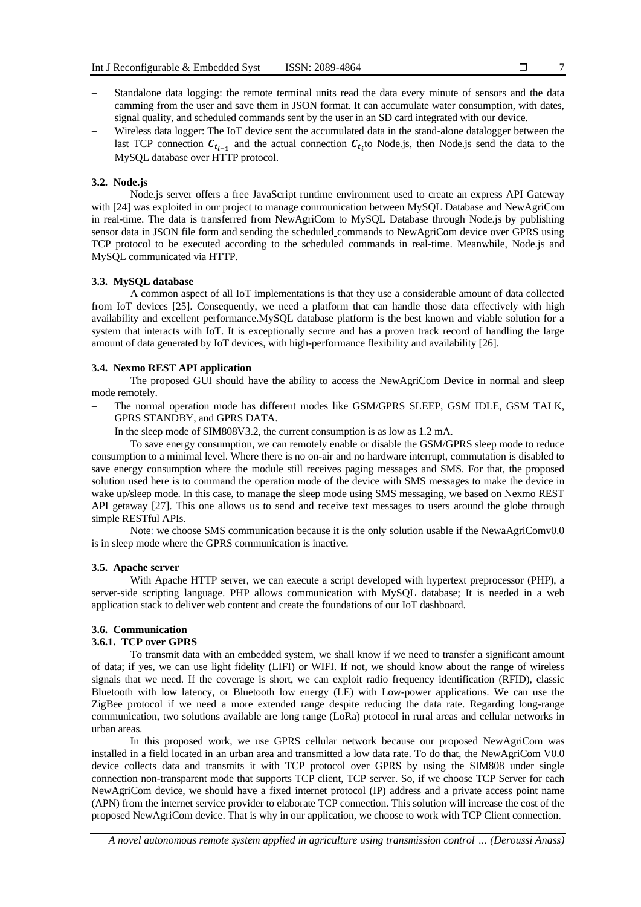- 7
- Standalone data logging: the remote terminal units read the data every minute of sensors and the data camming from the user and save them in JSON format. It can accumulate water consumption, with dates, signal quality, and scheduled commands sent by the user in an SD card integrated with our device.
- Wireless data logger: The IoT device sent the accumulated data in the stand-alone datalogger between the last TCP connection  $c_{t_{i-1}}$  and the actual connection  $c_{t_i}$  to Node.js, then Node.js send the data to the MySQL database over HTTP protocol.

# **3.2. Node.js**

Node.js server offers a free JavaScript runtime environment used to create an express API Gateway with [24] was exploited in our project to manage communication between MySQL Database and NewAgriCom in real-time. The data is transferred from NewAgriCom to MySQL Database through Node.js by publishing sensor data in JSON file form and sending the scheduled commands to NewAgriCom device over GPRS using TCP protocol to be executed according to the scheduled commands in real-time. Meanwhile, Node.js and MySQL communicated via HTTP.

#### **3.3. MySQL database**

A common aspect of all IoT implementations is that they use a considerable amount of data collected from IoT devices [25]. Consequently, we need a platform that can handle those data effectively with high availability and excellent performance.MySQL database platform is the best known and viable solution for a system that interacts with IoT. It is exceptionally secure and has a proven track record of handling the large amount of data generated by IoT devices, with high-performance flexibility and availability [26].

#### **3.4. Nexmo REST API application**

The proposed GUI should have the ability to access the NewAgriCom Device in normal and sleep mode remotely.

- The normal operation mode has different modes like GSM/GPRS SLEEP, GSM IDLE, GSM TALK, GPRS STANDBY, and GPRS DATA.
- In the sleep mode of SIM808V3.2, the current consumption is as low as 1.2 mA.

To save energy consumption, we can remotely enable or disable the GSM/GPRS sleep mode to reduce consumption to a minimal level. Where there is no on-air and no hardware interrupt, commutation is disabled to save energy consumption where the module still receives paging messages and SMS. For that, the proposed solution used here is to command the operation mode of the device with SMS messages to make the device in wake up/sleep mode. In this case, to manage the sleep mode using SMS messaging, we based on Nexmo REST API getaway [27]. This one allows us to send and receive text messages to users around the globe through simple RESTful APIs.

Note: we choose SMS communication because it is the only solution usable if the NewaAgriComv0.0 is in sleep mode where the GPRS communication is inactive.

#### **3.5. Apache server**

With Apache HTTP server, we can execute a script developed with hypertext preprocessor (PHP), a server-side scripting language. PHP allows communication with MySQL database; It is needed in a web application stack to deliver web content and create the foundations of our IoT dashboard.

# **3.6. Communication**

## **3.6.1. TCP over GPRS**

To transmit data with an embedded system, we shall know if we need to transfer a significant amount of data; if yes, we can use light fidelity (LIFI) or WIFI. If not, we should know about the range of wireless signals that we need. If the coverage is short, we can exploit radio frequency identification (RFID), classic Bluetooth with low latency, or Bluetooth low energy (LE) with Low-power applications. We can use the ZigBee protocol if we need a more extended range despite reducing the data rate. Regarding long-range communication, two solutions available are long range (LoRa) protocol in rural areas and cellular networks in urban areas.

In this proposed work, we use GPRS cellular network because our proposed NewAgriCom was installed in a field located in an urban area and transmitted a low data rate. To do that, the NewAgriCom V0.0 device collects data and transmits it with TCP protocol over GPRS by using the SIM808 under single connection non-transparent mode that supports TCP client, TCP server. So, if we choose TCP Server for each NewAgriCom device, we should have a fixed internet protocol (IP) address and a private access point name (APN) from the internet service provider to elaborate TCP connection. This solution will increase the cost of the proposed NewAgriCom device. That is why in our application, we choose to work with TCP Client connection.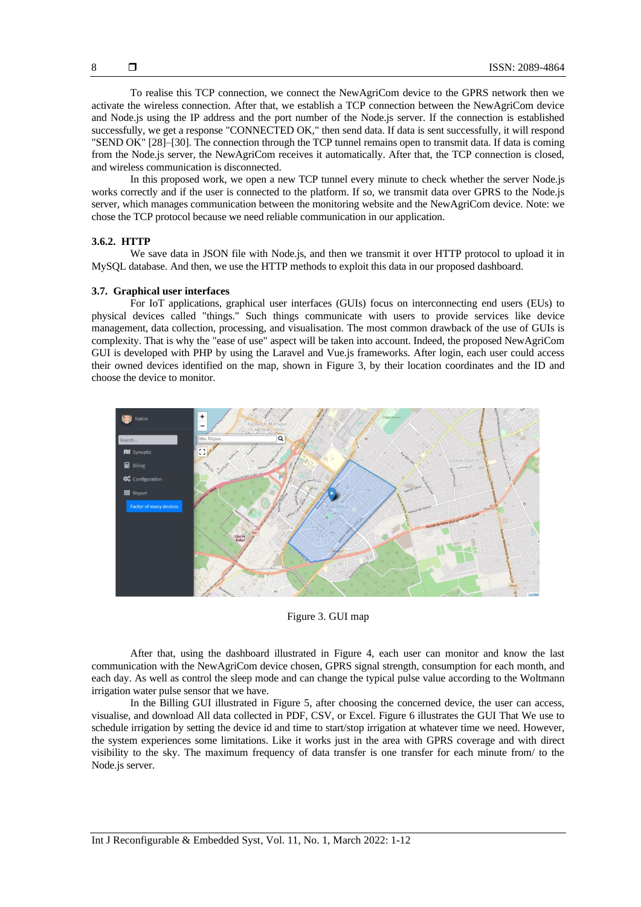To realise this TCP connection, we connect the NewAgriCom device to the GPRS network then we activate the wireless connection. After that, we establish a TCP connection between the NewAgriCom device and Node.js using the IP address and the port number of the Node.js server. If the connection is established successfully, we get a response "CONNECTED OK," then send data. If data is sent successfully, it will respond "SEND OK" [28]–[30]. The connection through the TCP tunnel remains open to transmit data. If data is coming from the Node.js server, the NewAgriCom receives it automatically. After that, the TCP connection is closed, and wireless communication is disconnected.

In this proposed work, we open a new TCP tunnel every minute to check whether the server Node.js works correctly and if the user is connected to the platform. If so, we transmit data over GPRS to the Node.js server, which manages communication between the monitoring website and the NewAgriCom device. Note: we chose the TCP protocol because we need reliable communication in our application.

# **3.6.2. HTTP**

We save data in JSON file with Node.js, and then we transmit it over HTTP protocol to upload it in MySQL database. And then, we use the HTTP methods to exploit this data in our proposed dashboard.

# **3.7. Graphical user interfaces**

For IoT applications, graphical user interfaces (GUIs) focus on interconnecting end users (EUs) to physical devices called "things." Such things communicate with users to provide services like device management, data collection, processing, and visualisation. The most common drawback of the use of GUIs is complexity. That is why the "ease of use" aspect will be taken into account. Indeed, the proposed NewAgriCom GUI is developed with PHP by using the Laravel and Vue.js frameworks. After login, each user could access their owned devices identified on the map, shown in Figure 3, by their location coordinates and the ID and choose the device to monitor.



Figure 3. GUI map

After that, using the dashboard illustrated in Figure 4, each user can monitor and know the last communication with the NewAgriCom device chosen, GPRS signal strength, consumption for each month, and each day. As well as control the sleep mode and can change the typical pulse value according to the Woltmann irrigation water pulse sensor that we have.

In the Billing GUI illustrated in Figure 5, after choosing the concerned device, the user can access, visualise, and download All data collected in PDF, CSV, or Excel. Figure 6 illustrates the GUI That We use to schedule irrigation by setting the device id and time to start/stop irrigation at whatever time we need. However, the system experiences some limitations. Like it works just in the area with GPRS coverage and with direct visibility to the sky. The maximum frequency of data transfer is one transfer for each minute from/ to the Node.js server.

8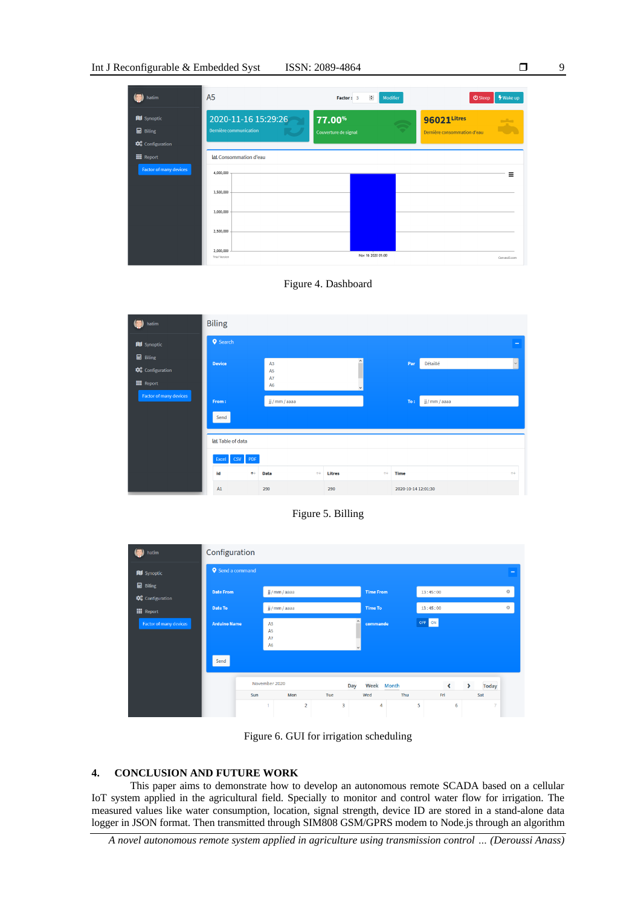|  | ISSN: 2089-4864 |
|--|-----------------|
|--|-----------------|

| hatim                                                   | A <sub>5</sub>                                | ÷<br>Modifier<br>Factor: 3     | <b>∲</b> Wake up<br><b>少</b> Sleep         |
|---------------------------------------------------------|-----------------------------------------------|--------------------------------|--------------------------------------------|
| <b>III</b> Synoptic<br><b>B</b> Biling<br>Configuration | 2020-11-16 15:29:26<br>Dernière communication | 77.00%<br>Couverture de signal | 96021Litres<br>Dernière consommation d'eau |
| <b>III</b> Report<br>Factor of many devices             | LLL Consommation d'eau<br>4,000,000           |                                | Ξ                                          |
|                                                         | 3,500,000<br>3,000,000                        |                                |                                            |
|                                                         | 2,500,000                                     |                                |                                            |
|                                                         | 2,000,000<br><b>Trial Version</b>             | Nov 16 2020 01:00              | Carwas IS.com                              |





Figure 5. Billing





# **4. CONCLUSION AND FUTURE WORK**

This paper aims to demonstrate how to develop an autonomous remote SCADA based on a cellular IoT system applied in the agricultural field. Specially to monitor and control water flow for irrigation. The measured values like water consumption, location, signal strength, device ID are stored in a stand-alone data logger in JSON format. Then transmitted through SIM808 GSM/GPRS modem to Node.js through an algorithm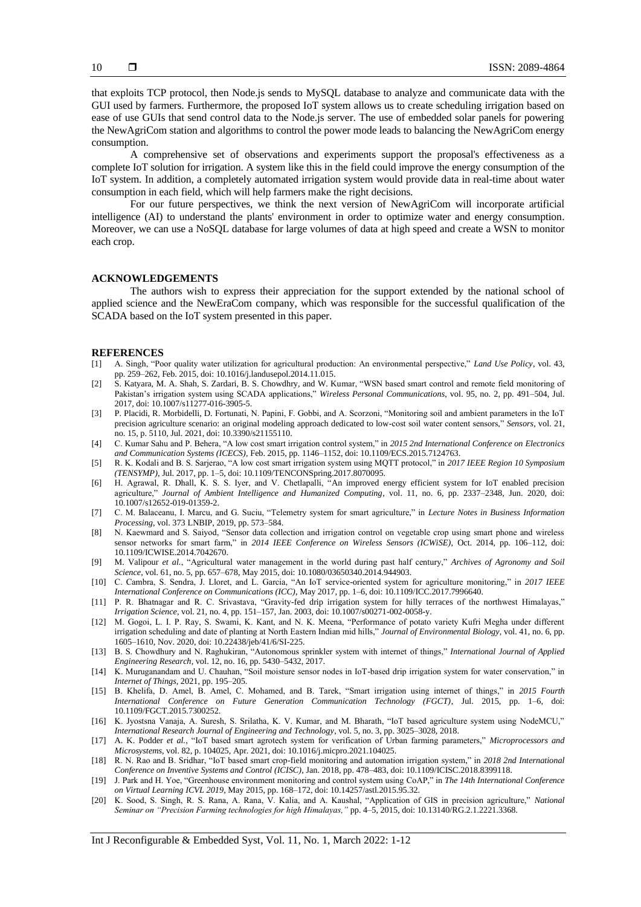that exploits TCP protocol, then Node.js sends to MySQL database to analyze and communicate data with the GUI used by farmers. Furthermore, the proposed IoT system allows us to create scheduling irrigation based on ease of use GUIs that send control data to the Node.js server. The use of embedded solar panels for powering the NewAgriCom station and algorithms to control the power mode leads to balancing the NewAgriCom energy consumption.

A comprehensive set of observations and experiments support the proposal's effectiveness as a complete IoT solution for irrigation. A system like this in the field could improve the energy consumption of the IoT system. In addition, a completely automated irrigation system would provide data in real-time about water consumption in each field, which will help farmers make the right decisions.

For our future perspectives, we think the next version of NewAgriCom will incorporate artificial intelligence (AI) to understand the plants' environment in order to optimize water and energy consumption. Moreover, we can use a NoSQL database for large volumes of data at high speed and create a WSN to monitor each crop.

# **ACKNOWLEDGEMENTS**

The authors wish to express their appreciation for the support extended by the national school of applied science and the NewEraCom company, which was responsible for the successful qualification of the SCADA based on the IoT system presented in this paper.

#### **REFERENCES**

- [1] A. Singh, "Poor quality water utilization for agricultural production: An environmental perspective," *Land Use Policy*, vol. 43, pp. 259–262, Feb. 2015, doi: 10.1016/j.landusepol.2014.11.015.
- [2] S. Katyara, M. A. Shah, S. Zardari, B. S. Chowdhry, and W. Kumar, "WSN based smart control and remote field monitoring of Pakistan's irrigation system using SCADA applications," *Wireless Personal Communications*, vol. 95, no. 2, pp. 491–504, Jul. 2017, doi: 10.1007/s11277-016-3905-5.
- [3] P. Placidi, R. Morbidelli, D. Fortunati, N. Papini, F. Gobbi, and A. Scorzoni, "Monitoring soil and ambient parameters in the IoT precision agriculture scenario: an original modeling approach dedicated to low-cost soil water content sensors," *Sensors*, vol. 21, no. 15, p. 5110, Jul. 2021, doi: 10.3390/s21155110.
- [4] C. Kumar Sahu and P. Behera, "A low cost smart irrigation control system," in *2015 2nd International Conference on Electronics and Communication Systems (ICECS)*, Feb. 2015, pp. 1146–1152, doi: 10.1109/ECS.2015.7124763.
- [5] R. K. Kodali and B. S. Sarjerao, "A low cost smart irrigation system using MQTT protocol," in *2017 IEEE Region 10 Symposium (TENSYMP)*, Jul. 2017, pp. 1–5, doi: 10.1109/TENCONSpring.2017.8070095.
- [6] H. Agrawal, R. Dhall, K. S. S. Iyer, and V. Chetlapalli, "An improved energy efficient system for IoT enabled precision agriculture," *Journal of Ambient Intelligence and Humanized Computing*, vol. 11, no. 6, pp. 2337–2348, Jun. 2020, doi: 10.1007/s12652-019-01359-2.
- [7] C. M. Balaceanu, I. Marcu, and G. Suciu, "Telemetry system for smart agriculture," in *Lecture Notes in Business Information Processing*, vol. 373 LNBIP, 2019, pp. 573–584.
- [8] N. Kaewmard and S. Saiyod, "Sensor data collection and irrigation control on vegetable crop using smart phone and wireless sensor networks for smart farm," in *2014 IEEE Conference on Wireless Sensors (ICWiSE)*, Oct. 2014, pp. 106–112, doi: 10.1109/ICWISE.2014.7042670.
- [9] M. Valipour *et al.*, "Agricultural water management in the world during past half century," *Archives of Agronomy and Soil Science*, vol. 61, no. 5, pp. 657–678, May 2015, doi: 10.1080/03650340.2014.944903.
- [10] C. Cambra, S. Sendra, J. Lloret, and L. Garcia, "An IoT service-oriented system for agriculture monitoring," in *2017 IEEE International Conference on Communications (ICC)*, May 2017, pp. 1–6, doi: 10.1109/ICC.2017.7996640.
- [11] P. R. Bhatnagar and R. C. Srivastava, "Gravity-fed drip irrigation system for hilly terraces of the northwest Himalayas," *Irrigation Science*, vol. 21, no. 4, pp. 151–157, Jan. 2003, doi: 10.1007/s00271-002-0058-y.
- [12] M. Gogoi, L. I. P. Ray, S. Swami, K. Kant, and N. K. Meena, "Performance of potato variety Kufri Megha under different irrigation scheduling and date of planting at North Eastern Indian mid hills," *Journal of Environmental Biology*, vol. 41, no. 6, pp. 1605–1610, Nov. 2020, doi: 10.22438/jeb/41/6/SI-225.
- [13] B. S. Chowdhury and N. Raghukiran, "Autonomous sprinkler system with internet of things," *International Journal of Applied Engineering Research*, vol. 12, no. 16, pp. 5430–5432, 2017.
- [14] K. Muruganandam and U. Chauhan, "Soil moisture sensor nodes in IoT-based drip irrigation system for water conservation," in *Internet of Things*, 2021, pp. 195–205.
- [15] B. Khelifa, D. Amel, B. Amel, C. Mohamed, and B. Tarek, "Smart irrigation using internet of things," in *2015 Fourth International Conference on Future Generation Communication Technology (FGCT)*, Jul. 2015, pp. 1–6, doi: 10.1109/FGCT.2015.7300252.
- [16] K. Jyostsna Vanaja, A. Suresh, S. Srilatha, K. V. Kumar, and M. Bharath, "IoT based agriculture system using NodeMCU," *International Research Journal of Engineering and Technology*, vol. 5, no. 3, pp. 3025–3028, 2018.
- [17] A. K. Podder *et al.*, "IoT based smart agrotech system for verification of Urban farming parameters," *Microprocessors and Microsystems*, vol. 82, p. 104025, Apr. 2021, doi: 10.1016/j.micpro.2021.104025.
- [18] R. N. Rao and B. Sridhar, "IoT based smart crop-field monitoring and automation irrigation system," in *2018 2nd International Conference on Inventive Systems and Control (ICISC)*, Jan. 2018, pp. 478–483, doi: 10.1109/ICISC.2018.8399118.
- [19] J. Park and H. Yoe, "Greenhouse environment monitoring and control system using CoAP," in *The 14th International Conference on Virtual Learning ICVL 2019*, May 2015, pp. 168–172, doi: 10.14257/astl.2015.95.32.
- [20] K. Sood, S. Singh, R. S. Rana, A. Rana, V. Kalia, and A. Kaushal, "Application of GIS in precision agriculture," *National Seminar on "Precision Farming technologies for high Himalayas,"* pp. 4–5, 2015, doi: 10.13140/RG.2.1.2221.3368.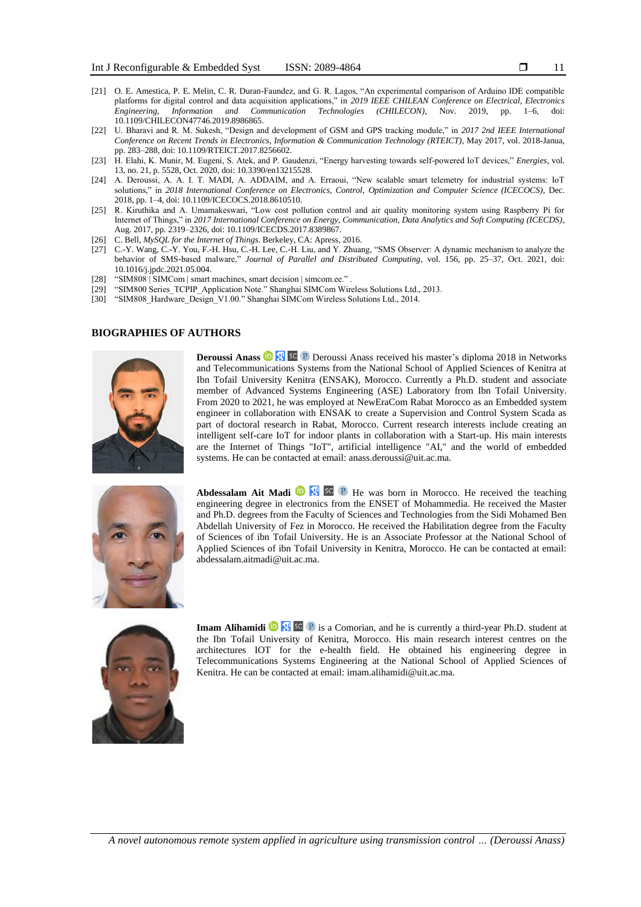- [21] O. E. Amestica, P. E. Melin, C. R. Duran-Faundez, and G. R. Lagos, "An experimental comparison of Arduino IDE compatible platforms for digital control and data acquisition applications," in *2019 IEEE CHILEAN Conference on Electrical, Electronics Engineering, Information and Communication Technologies (CHILECON)*, Nov. 2019, pp. 1–6, 10.1109/CHILECON47746.2019.8986865.
- [22] U. Bharavi and R. M. Sukesh, "Design and development of GSM and GPS tracking module," in *2017 2nd IEEE International Conference on Recent Trends in Electronics, Information & Communication Technology (RTEICT)*, May 2017, vol. 2018-Janua, pp. 283–288, doi: 10.1109/RTEICT.2017.8256602.
- [23] H. Elahi, K. Munir, M. Eugeni, S. Atek, and P. Gaudenzi, "Energy harvesting towards self-powered IoT devices," *Energies*, vol. 13, no. 21, p. 5528, Oct. 2020, doi: 10.3390/en13215528.
- [24] A. Deroussi, A. A. I. T. MADI, A. ADDAIM, and A. Erraoui, "New scalable smart telemetry for industrial systems: IoT solutions," in *2018 International Conference on Electronics, Control, Optimization and Computer Science (ICECOCS)*, Dec. 2018, pp. 1–4, doi: 10.1109/ICECOCS.2018.8610510.
- [25] R. Kiruthika and A. Umamakeswari, "Low cost pollution control and air quality monitoring system using Raspberry Pi for Internet of Things," in *2017 International Conference on Energy, Communication, Data Analytics and Soft Computing (ICECDS)*, Aug. 2017, pp. 2319–2326, doi: 10.1109/ICECDS.2017.8389867.
- [26] C. Bell, *MySQL for the Internet of Things*. Berkeley, CA: Apress, 2016.
- [27] C.-Y. Wang, C.-Y. You, F.-H. Hsu, C.-H. Lee, C.-H. Liu, and Y. Zhuang, "SMS Observer: A dynamic mechanism to analyze the behavior of SMS-based malware," *Journal of Parallel and Distributed Computing*, vol. 156, pp. 25–37, Oct. 2021, doi: 10.1016/j.jpdc.2021.05.004.
- [28] "SIM808 | SIMCom | smart machines, smart decision | simcom.ee.".
- [29] "SIM800 Series\_TCPIP\_Application Note." Shanghai SIMCom Wireless Solutions Ltd., 2013.
- [30] "SIM808\_Hardware\_Design\_V1.00." Shanghai SIMCom Wireless Solutions Ltd., 2014.

#### **BIOGRAPHIES OF AUTHORS**



**DeroussiAnass<sup><b>D** [x]</sub> SC P Deroussi Anass received his master's diploma 2018 in Networks</sup> and Telecommunications Systems from the National School of Applied Sciences of Kenitra at Ibn Tofail University Kenitra (ENSAK), Morocco. Currently a Ph.D. student and associate member of Advanced Systems Engineering (ASE) Laboratory from Ibn Tofail University. From 2020 to 2021, he was employed at NewEraCom Rabat Morocco as an Embedded system engineer in collaboration with ENSAK to create a Supervision and Control System Scada as part of doctoral research in Rabat, Morocco. Current research interests include creating an intelligent self-care IoT for indoor plants in collaboration with a Start-up. His main interests are the Internet of Things "IoT", artificial intelligence "AI," and the world of embedded systems. He can be contacted at email: anass.deroussi@uit.ac.ma.



**Abdessalam Ait Madi <b>ID H**e was born in Morocco. He received the teaching engineering degree in electronics from the ENSET of Mohammedia. He received the Master and Ph.D. degrees from the Faculty of Sciences and Technologies from the Sidi Mohamed Ben Abdellah University of Fez in Morocco. He received the Habilitation degree from the Faculty of Sciences of ibn Tofail University. He is an Associate Professor at the National School of Applied Sciences of ibn Tofail University in Kenitra, Morocco. He can be contacted at email: abdessalam.aitmadi@uit.ac.ma.



**Imam Alihamidi <sup>in</sup>s a** Comorian, and he is currently a third-year Ph.D. student at the Ibn Tofail University of Kenitra, Morocco. His main research interest centres on the architectures IOT for the e-health field. He obtained his engineering degree in Telecommunications Systems Engineering at the National School of Applied Sciences of Kenitra. He can be contacted at email: imam.alihamidi@uit.ac.ma.